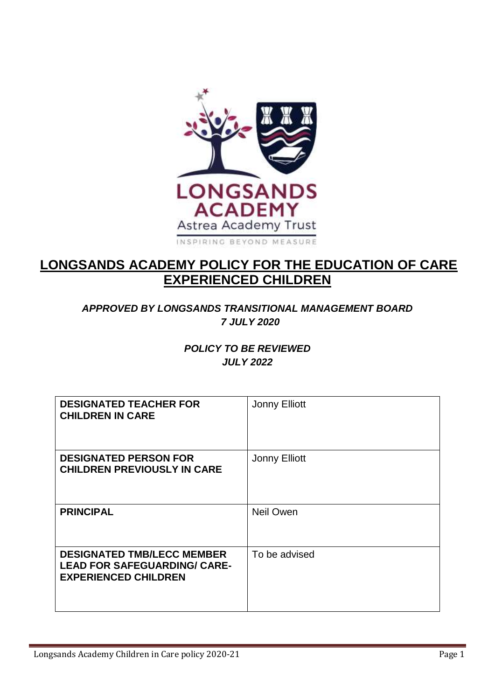

# **LONGSANDS ACADEMY POLICY FOR THE EDUCATION OF CARE EXPERIENCED CHILDREN**

# *APPROVED BY LONGSANDS TRANSITIONAL MANAGEMENT BOARD 7 JULY 2020*

### *POLICY TO BE REVIEWED JULY 2022*

| <b>DESIGNATED TEACHER FOR</b><br><b>CHILDREN IN CARE</b>                                                | <b>Jonny Elliott</b> |
|---------------------------------------------------------------------------------------------------------|----------------------|
| <b>DESIGNATED PERSON FOR</b><br><b>CHILDREN PREVIOUSLY IN CARE</b>                                      | <b>Jonny Elliott</b> |
| <b>PRINCIPAL</b>                                                                                        | <b>Neil Owen</b>     |
| <b>DESIGNATED TMB/LECC MEMBER</b><br><b>LEAD FOR SAFEGUARDING/ CARE-</b><br><b>EXPERIENCED CHILDREN</b> | To be advised        |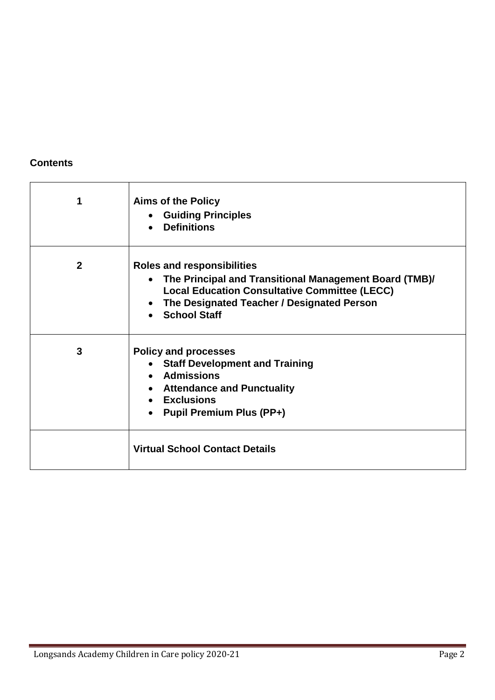# **Contents**

| 1            | <b>Aims of the Policy</b><br>• Guiding Principles<br>• Definitions                                                                                                                                                                 |
|--------------|------------------------------------------------------------------------------------------------------------------------------------------------------------------------------------------------------------------------------------|
| $\mathbf{2}$ | <b>Roles and responsibilities</b><br>The Principal and Transitional Management Board (TMB)/<br>$\bullet$<br><b>Local Education Consultative Committee (LECC)</b><br>• The Designated Teacher / Designated Person<br>• School Staff |
| 3            | <b>Policy and processes</b><br>• Staff Development and Training<br>• Admissions<br>• Attendance and Punctuality<br>• Exclusions<br><b>Pupil Premium Plus (PP+)</b>                                                                 |
|              | <b>Virtual School Contact Details</b>                                                                                                                                                                                              |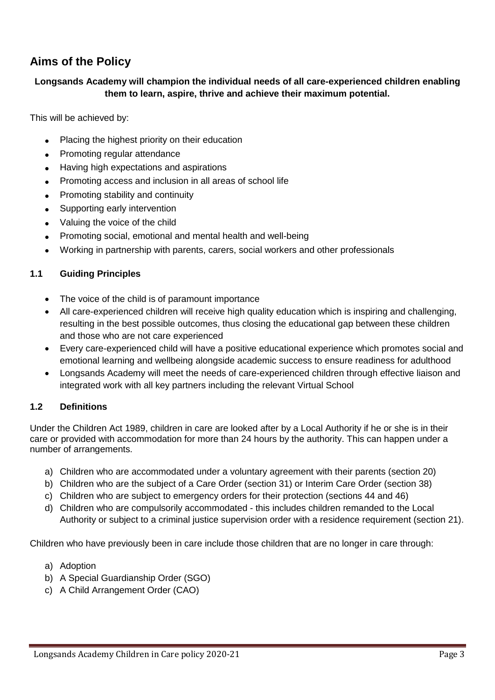# **Aims of the Policy**

#### **Longsands Academy will champion the individual needs of all care-experienced children enabling them to learn, aspire, thrive and achieve their maximum potential.**

This will be achieved by:

- Placing the highest priority on their education
- Promoting regular attendance
- Having high expectations and aspirations
- Promoting access and inclusion in all areas of school life
- Promoting stability and continuity
- Supporting early intervention
- Valuing the voice of the child
- Promoting social, emotional and mental health and well-being
- Working in partnership with parents, carers, social workers and other professionals

#### **1.1 Guiding Principles**

- The voice of the child is of paramount importance
- All care-experienced children will receive high quality education which is inspiring and challenging, resulting in the best possible outcomes, thus closing the educational gap between these children and those who are not care experienced
- Every care-experienced child will have a positive educational experience which promotes social and emotional learning and wellbeing alongside academic success to ensure readiness for adulthood
- Longsands Academy will meet the needs of care-experienced children through effective liaison and integrated work with all key partners including the relevant Virtual School

#### **1.2 Definitions**

Under the Children Act 1989, children in care are looked after by a Local Authority if he or she is in their care or provided with accommodation for more than 24 hours by the authority. This can happen under a number of arrangements.

- a) Children who are accommodated under a voluntary agreement with their parents (section 20)
- b) Children who are the subject of a Care Order (section 31) or Interim Care Order (section 38)
- c) Children who are subject to emergency orders for their protection (sections 44 and 46)
- d) Children who are compulsorily accommodated this includes children remanded to the Local Authority or subject to a criminal justice supervision order with a residence requirement (section 21).

Children who have previously been in care include those children that are no longer in care through:

- a) Adoption
- b) A Special Guardianship Order (SGO)
- c) A Child Arrangement Order (CAO)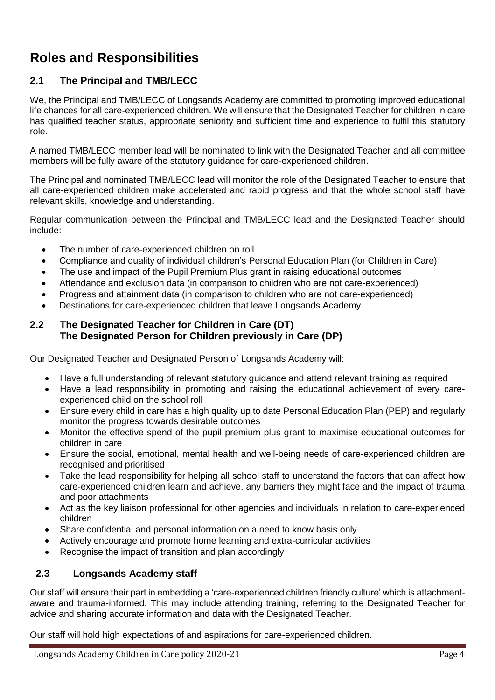# **Roles and Responsibilities**

## **2.1 The Principal and TMB/LECC**

We, the Principal and TMB/LECC of Longsands Academy are committed to promoting improved educational life chances for all care-experienced children. We will ensure that the Designated Teacher for children in care has qualified teacher status, appropriate seniority and sufficient time and experience to fulfil this statutory role.

A named TMB/LECC member lead will be nominated to link with the Designated Teacher and all committee members will be fully aware of the statutory guidance for care-experienced children.

The Principal and nominated TMB/LECC lead will monitor the role of the Designated Teacher to ensure that all care-experienced children make accelerated and rapid progress and that the whole school staff have relevant skills, knowledge and understanding.

Regular communication between the Principal and TMB/LECC lead and the Designated Teacher should include:

- The number of care-experienced children on roll
- Compliance and quality of individual children's Personal Education Plan (for Children in Care)
- The use and impact of the Pupil Premium Plus grant in raising educational outcomes
- Attendance and exclusion data (in comparison to children who are not care-experienced)
- Progress and attainment data (in comparison to children who are not care-experienced)
- Destinations for care-experienced children that leave Longsands Academy

#### **2.2 The Designated Teacher for Children in Care (DT) The Designated Person for Children previously in Care (DP)**

Our Designated Teacher and Designated Person of Longsands Academy will:

- Have a full understanding of relevant statutory guidance and attend relevant training as required
- Have a lead responsibility in promoting and raising the educational achievement of every careexperienced child on the school roll
- Ensure every child in care has a high quality up to date Personal Education Plan (PEP) and regularly monitor the progress towards desirable outcomes
- Monitor the effective spend of the pupil premium plus grant to maximise educational outcomes for children in care
- Ensure the social, emotional, mental health and well-being needs of care-experienced children are recognised and prioritised
- Take the lead responsibility for helping all school staff to understand the factors that can affect how care-experienced children learn and achieve, any barriers they might face and the impact of trauma and poor attachments
- Act as the key liaison professional for other agencies and individuals in relation to care-experienced children
- Share confidential and personal information on a need to know basis only
- Actively encourage and promote home learning and extra-curricular activities
- Recognise the impact of transition and plan accordingly

### **2.3 Longsands Academy staff**

Our staff will ensure their part in embedding a 'care-experienced children friendly culture' which is attachmentaware and trauma-informed. This may include attending training, referring to the Designated Teacher for advice and sharing accurate information and data with the Designated Teacher.

Our staff will hold high expectations of and aspirations for care-experienced children.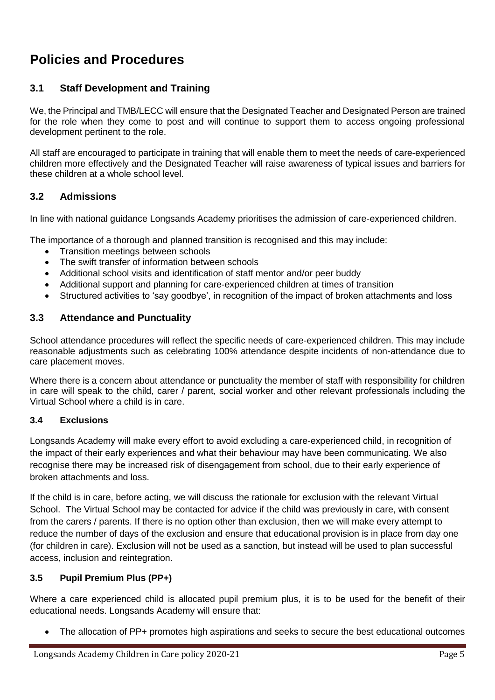# **Policies and Procedures**

## **3.1 Staff Development and Training**

We, the Principal and TMB/LECC will ensure that the Designated Teacher and Designated Person are trained for the role when they come to post and will continue to support them to access ongoing professional development pertinent to the role.

All staff are encouraged to participate in training that will enable them to meet the needs of care-experienced children more effectively and the Designated Teacher will raise awareness of typical issues and barriers for these children at a whole school level.

### **3.2 Admissions**

In line with national guidance Longsands Academy prioritises the admission of care-experienced children.

The importance of a thorough and planned transition is recognised and this may include:

- Transition meetings between schools
- The swift transfer of information between schools
- Additional school visits and identification of staff mentor and/or peer buddy
- Additional support and planning for care-experienced children at times of transition
- Structured activities to 'say goodbye', in recognition of the impact of broken attachments and loss

#### **3.3 Attendance and Punctuality**

School attendance procedures will reflect the specific needs of care-experienced children. This may include reasonable adjustments such as celebrating 100% attendance despite incidents of non-attendance due to care placement moves.

Where there is a concern about attendance or punctuality the member of staff with responsibility for children in care will speak to the child, carer / parent, social worker and other relevant professionals including the Virtual School where a child is in care.

#### **3.4 Exclusions**

Longsands Academy will make every effort to avoid excluding a care-experienced child, in recognition of the impact of their early experiences and what their behaviour may have been communicating. We also recognise there may be increased risk of disengagement from school, due to their early experience of broken attachments and loss.

If the child is in care, before acting, we will discuss the rationale for exclusion with the relevant Virtual School. The Virtual School may be contacted for advice if the child was previously in care, with consent from the carers / parents. If there is no option other than exclusion, then we will make every attempt to reduce the number of days of the exclusion and ensure that educational provision is in place from day one (for children in care). Exclusion will not be used as a sanction, but instead will be used to plan successful access, inclusion and reintegration.

#### **3.5 Pupil Premium Plus (PP+)**

Where a care experienced child is allocated pupil premium plus, it is to be used for the benefit of their educational needs. Longsands Academy will ensure that:

The allocation of PP+ promotes high aspirations and seeks to secure the best educational outcomes